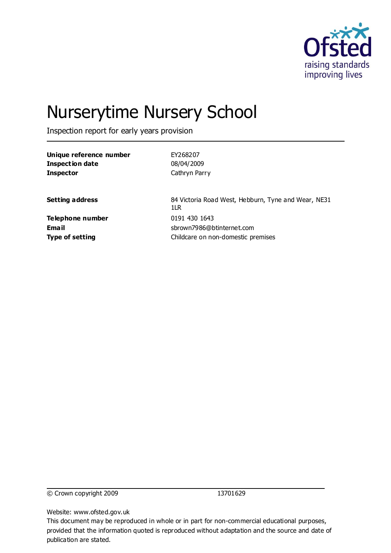

# Nurserytime Nursery School

Inspection report for early years provision

| Unique reference number          | EY268207                                                   |
|----------------------------------|------------------------------------------------------------|
| <b>Inspection date</b>           | 08/04/2009                                                 |
| <b>Inspector</b>                 | Cathryn Parry                                              |
| <b>Setting address</b>           | 84 Victoria Road West, Hebburn, Tyne and Wear, NE31<br>1LR |
| Telephone number<br><b>Email</b> | 0191 430 1643<br>sbrown7986@btinternet.com                 |
| <b>Type of setting</b>           | Childcare on non-domestic premises                         |

© Crown copyright 2009 13701629

Website: www.ofsted.gov.uk

This document may be reproduced in whole or in part for non-commercial educational purposes, provided that the information quoted is reproduced without adaptation and the source and date of publication are stated.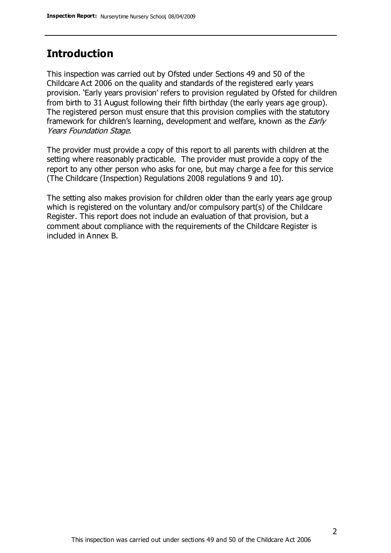# **Introduction**

This inspection was carried out by Ofsted under Sections 49 and 50 of the Childcare Act 2006 on the quality and standards of the registered early years provision. 'Early years provision' refers to provision regulated by Ofsted for children from birth to 31 August following their fifth birthday (the early years age group). The registered person must ensure that this provision complies with the statutory framework for children's learning, development and welfare, known as the *Early* Years Foundation Stage.

The provider must provide a copy of this report to all parents with children at the setting where reasonably practicable. The provider must provide a copy of the report to any other person who asks for one, but may charge a fee for this service (The Childcare (Inspection) Regulations 2008 regulations 9 and 10).

The setting also makes provision for children older than the early years age group which is registered on the voluntary and/or compulsory part(s) of the Childcare Register. This report does not include an evaluation of that provision, but a comment about compliance with the requirements of the Childcare Register is included in Annex B.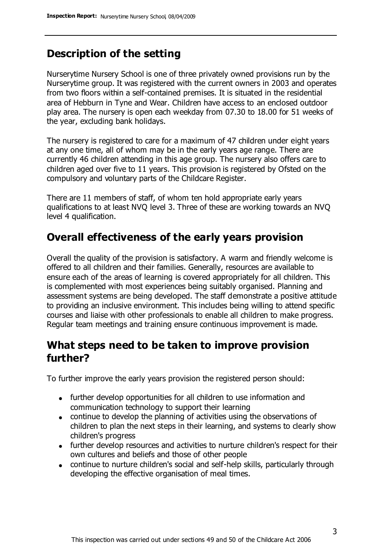# **Description of the setting**

Nurserytime Nursery School is one of three privately owned provisions run by the Nurserytime group. It was registered with the current owners in 2003 and operates from two floors within a self-contained premises. It is situated in the residential area of Hebburn in Tyne and Wear. Children have access to an enclosed outdoor play area. The nursery is open each weekday from 07.30 to 18.00 for 51 weeks of the year, excluding bank holidays.

The nursery is registered to care for a maximum of 47 children under eight years at any one time, all of whom may be in the early years age range. There are currently 46 children attending in this age group. The nursery also offers care to children aged over five to 11 years. This provision is registered by Ofsted on the compulsory and voluntary parts of the Childcare Register.

There are 11 members of staff, of whom ten hold appropriate early years qualifications to at least NVQ level 3. Three of these are working towards an NVQ level 4 qualification.

### **Overall effectiveness of the early years provision**

Overall the quality of the provision is satisfactory. A warm and friendly welcome is offered to all children and their families. Generally, resources are available to ensure each of the areas of learning is covered appropriately for all children. This is complemented with most experiences being suitably organised. Planning and assessment systems are being developed. The staff demonstrate a positive attitude to providing an inclusive environment. This includes being willing to attend specific courses and liaise with other professionals to enable all children to make progress. Regular team meetings and training ensure continuous improvement is made.

# **What steps need to be taken to improve provision further?**

To further improve the early years provision the registered person should:

- further develop opportunities for all children to use information and communication technology to support their learning
- continue to develop the planning of activities using the observations of children to plan the next steps in their learning, and systems to clearly show children's progress
- further develop resources and activities to nurture children's respect for their own cultures and beliefs and those of other people
- continue to nurture children's social and self-help skills, particularly through developing the effective organisation of meal times.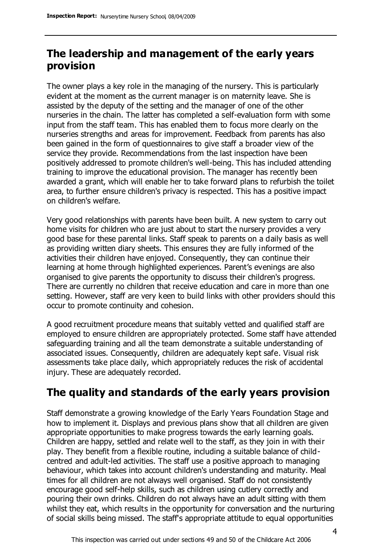# **The leadership and management of the early years provision**

The owner plays a key role in the managing of the nursery. This is particularly evident at the moment as the current manager is on maternity leave. She is assisted by the deputy of the setting and the manager of one of the other nurseries in the chain. The latter has completed a self-evaluation form with some input from the staff team. This has enabled them to focus more clearly on the nurseries strengths and areas for improvement. Feedback from parents has also been gained in the form of questionnaires to give staff a broader view of the service they provide. Recommendations from the last inspection have been positively addressed to promote children's well-being. This has included attending training to improve the educational provision. The manager has recently been awarded a grant, which will enable her to take forward plans to refurbish the toilet area, to further ensure children's privacy is respected. This has a positive impact on children's welfare.

Very good relationships with parents have been built. A new system to carry out home visits for children who are just about to start the nursery provides a very good base for these parental links. Staff speak to parents on a daily basis as well as providing written diary sheets. This ensures they are fully informed of the activities their children have enjoyed. Consequently, they can continue their learning at home through highlighted experiences. Parent's evenings are also organised to give parents the opportunity to discuss their children's progress. There are currently no children that receive education and care in more than one setting. However, staff are very keen to build links with other providers should this occur to promote continuity and cohesion.

A good recruitment procedure means that suitably vetted and qualified staff are employed to ensure children are appropriately protected. Some staff have attended safeguarding training and all the team demonstrate a suitable understanding of associated issues. Consequently, children are adequately kept safe. Visual risk assessments take place daily, which appropriately reduces the risk of accidental injury. These are adequately recorded.

# **The quality and standards of the early years provision**

Staff demonstrate a growing knowledge of the Early Years Foundation Stage and how to implement it. Displays and previous plans show that all children are given appropriate opportunities to make progress towards the early learning goals. Children are happy, settled and relate well to the staff, as they join in with their play. They benefit from a flexible routine, including a suitable balance of childcentred and adult-led activities. The staff use a positive approach to managing behaviour, which takes into account children's understanding and maturity. Meal times for all children are not always well organised. Staff do not consistently encourage good self-help skills, such as children using cutlery correctly and pouring their own drinks. Children do not always have an adult sitting with them whilst they eat, which results in the opportunity for conversation and the nurturing of social skills being missed. The staff's appropriate attitude to equal opportunities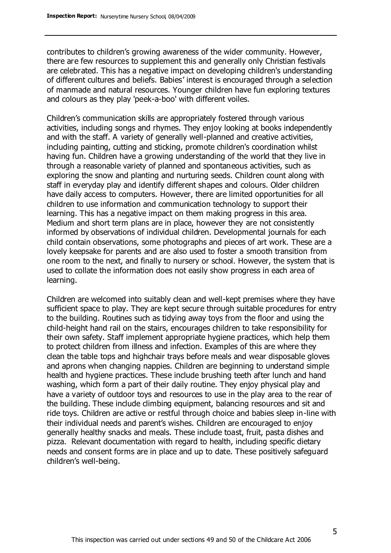contributes to children's growing awareness of the wider community. However, there are few resources to supplement this and generally only Christian festivals are celebrated. This has a negative impact on developing children's understanding of different cultures and beliefs. Babies' interest is encouraged through a selection of manmade and natural resources. Younger children have fun exploring textures and colours as they play 'peek-a-boo' with different voiles.

Children's communication skills are appropriately fostered through various activities, including songs and rhymes. They enjoy looking at books independently and with the staff. A variety of generally well-planned and creative activities, including painting, cutting and sticking, promote children's coordination whilst having fun. Children have a growing understanding of the world that they live in through a reasonable variety of planned and spontaneous activities, such as exploring the snow and planting and nurturing seeds. Children count along with staff in everyday play and identify different shapes and colours. Older children have daily access to computers. However, there are limited opportunities for all children to use information and communication technology to support their learning. This has a negative impact on them making progress in this area. Medium and short term plans are in place, however they are not consistently informed by observations of individual children. Developmental journals for each child contain observations, some photographs and pieces of art work. These are a lovely keepsake for parents and are also used to foster a smooth transition from one room to the next, and finally to nursery or school. However, the system that is used to collate the information does not easily show progress in each area of learning.

Children are welcomed into suitably clean and well-kept premises where they have sufficient space to play. They are kept secure through suitable procedures for entry to the building. Routines such as tidying away toys from the floor and using the child-height hand rail on the stairs, encourages children to take responsibility for their own safety. Staff implement appropriate hygiene practices, which help them to protect children from illness and infection. Examples of this are where they clean the table tops and highchair trays before meals and wear disposable gloves and aprons when changing nappies. Children are beginning to understand simple health and hygiene practices. These include brushing teeth after lunch and hand washing, which form a part of their daily routine. They enjoy physical play and have a variety of outdoor toys and resources to use in the play area to the rear of the building. These include climbing equipment, balancing resources and sit and ride toys. Children are active or restful through choice and babies sleep in-line with their individual needs and parent's wishes. Children are encouraged to enjoy generally healthy snacks and meals. These include toast, fruit, pasta dishes and pizza. Relevant documentation with regard to health, including specific dietary needs and consent forms are in place and up to date. These positively safeguard children's well-being.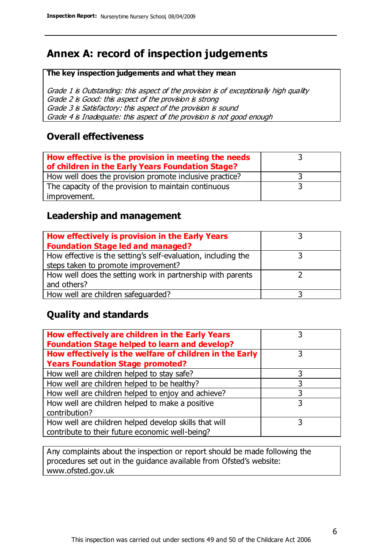# **Annex A: record of inspection judgements**

#### **The key inspection judgements and what they mean**

Grade 1 is Outstanding: this aspect of the provision is of exceptionally high quality Grade 2 is Good: this aspect of the provision is strong Grade 3 is Satisfactory: this aspect of the provision is sound Grade 4 is Inadequate: this aspect of the provision is not good enough

#### **Overall effectiveness**

| How effective is the provision in meeting the needs<br>of children in the Early Years Foundation Stage? |  |
|---------------------------------------------------------------------------------------------------------|--|
| How well does the provision promote inclusive practice?                                                 |  |
| The capacity of the provision to maintain continuous                                                    |  |
| improvement.                                                                                            |  |

#### **Leadership and management**

| How effectively is provision in the Early Years               |  |
|---------------------------------------------------------------|--|
| <b>Foundation Stage led and managed?</b>                      |  |
| How effective is the setting's self-evaluation, including the |  |
| steps taken to promote improvement?                           |  |
| How well does the setting work in partnership with parents    |  |
| and others?                                                   |  |
| How well are children safeguarded?                            |  |

### **Quality and standards**

| How effectively are children in the Early Years<br><b>Foundation Stage helped to learn and develop?</b> |   |
|---------------------------------------------------------------------------------------------------------|---|
| How effectively is the welfare of children in the Early                                                 | 3 |
| <b>Years Foundation Stage promoted?</b>                                                                 |   |
| How well are children helped to stay safe?                                                              |   |
| How well are children helped to be healthy?                                                             | 3 |
| How well are children helped to enjoy and achieve?                                                      | 3 |
| How well are children helped to make a positive                                                         | 3 |
| contribution?                                                                                           |   |
| How well are children helped develop skills that will                                                   |   |
| contribute to their future economic well-being?                                                         |   |

Any complaints about the inspection or report should be made following the procedures set out in the guidance available from Ofsted's website: www.ofsted.gov.uk